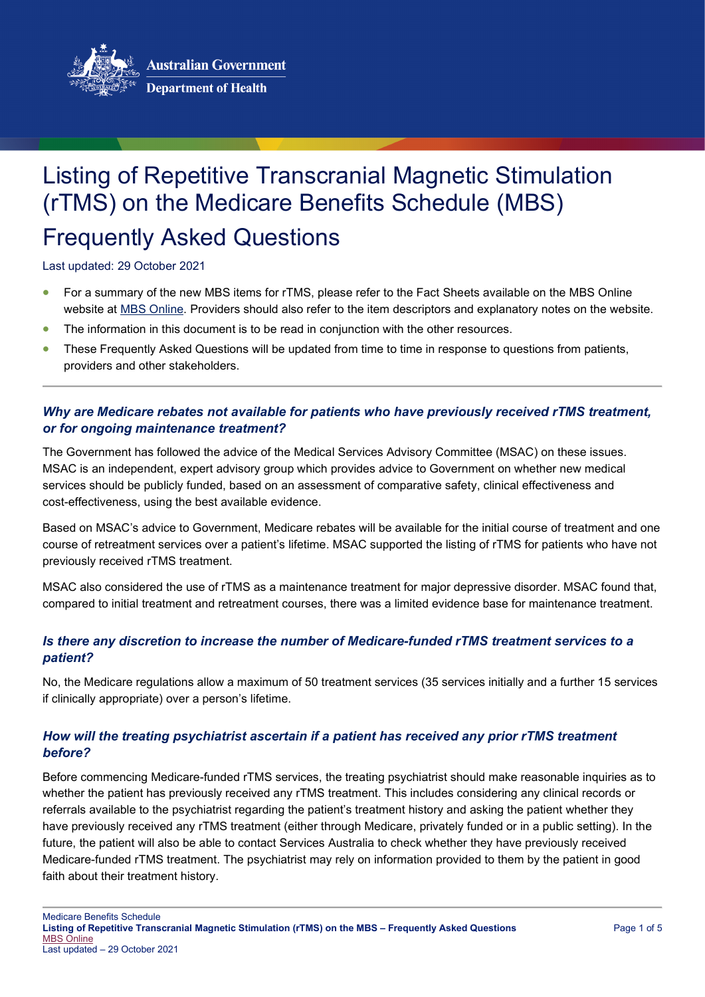

# Listing of Repetitive Transcranial Magnetic Stimulation (rTMS) on the Medicare Benefits Schedule (MBS) Frequently Asked Questions

Last updated: 29 October 2021

- For a summary of the new MBS items for rTMS, please refer to the Fact Sheets available on the MBS Online website at [MBS Online.](http://www.mbsonline.gov.au/) Providers should also refer to the item descriptors and explanatory notes on the website.
- The information in this document is to be read in conjunction with the other resources.
- These Frequently Asked Questions will be updated from time to time in response to questions from patients, providers and other stakeholders.

## *Why are Medicare rebates not available for patients who have previously received rTMS treatment, or for ongoing maintenance treatment?*

The Government has followed the advice of the Medical Services Advisory Committee (MSAC) on these issues. MSAC is an independent, expert advisory group which provides advice to Government on whether new medical services should be publicly funded, based on an assessment of comparative safety, clinical effectiveness and cost-effectiveness, using the best available evidence.

Based on MSAC's advice to Government, Medicare rebates will be available for the initial course of treatment and one course of retreatment services over a patient's lifetime. MSAC supported the listing of rTMS for patients who have not previously received rTMS treatment.

MSAC also considered the use of rTMS as a maintenance treatment for major depressive disorder. MSAC found that, compared to initial treatment and retreatment courses, there was a limited evidence base for maintenance treatment.

#### *Is there any discretion to increase the number of Medicare-funded rTMS treatment services to a patient?*

No, the Medicare regulations allow a maximum of 50 treatment services (35 services initially and a further 15 services if clinically appropriate) over a person's lifetime.

# *How will the treating psychiatrist ascertain if a patient has received any prior rTMS treatment before?*

Before commencing Medicare-funded rTMS services, the treating psychiatrist should make reasonable inquiries as to whether the patient has previously received any rTMS treatment. This includes considering any clinical records or referrals available to the psychiatrist regarding the patient's treatment history and asking the patient whether they have previously received any rTMS treatment (either through Medicare, privately funded or in a public setting). In the future, the patient will also be able to contact Services Australia to check whether they have previously received Medicare-funded rTMS treatment. The psychiatrist may rely on information provided to them by the patient in good faith about their treatment history.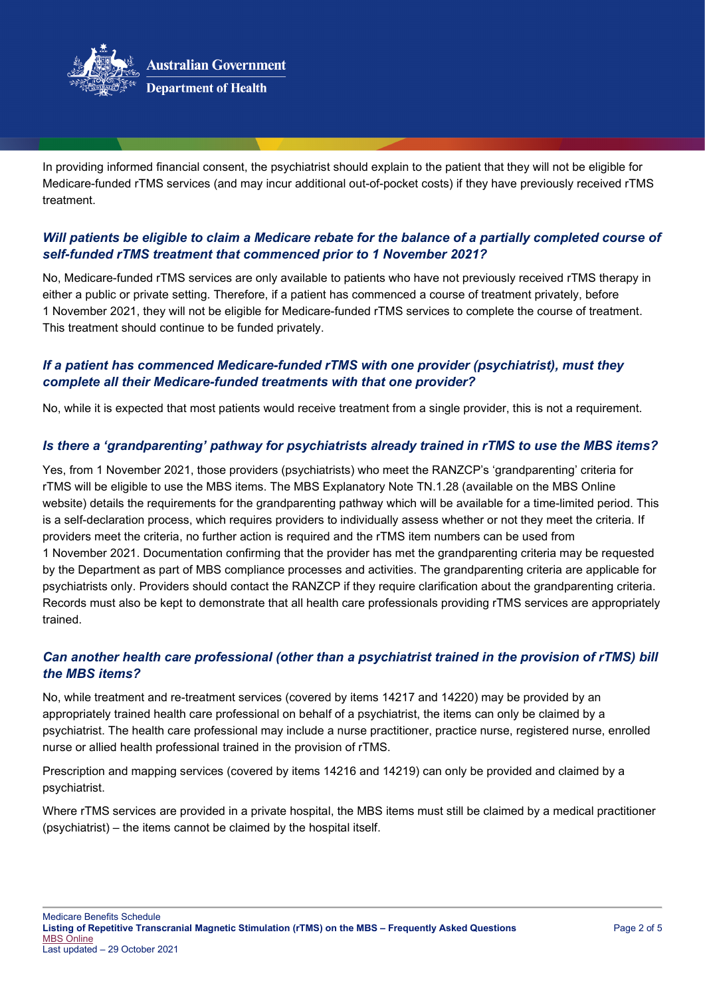

In providing informed financial consent, the psychiatrist should explain to the patient that they will not be eligible for Medicare-funded rTMS services (and may incur additional out-of-pocket costs) if they have previously received rTMS treatment.

### *Will patients be eligible to claim a Medicare rebate for the balance of a partially completed course of self-funded rTMS treatment that commenced prior to 1 November 2021?*

No, Medicare-funded rTMS services are only available to patients who have not previously received rTMS therapy in either a public or private setting. Therefore, if a patient has commenced a course of treatment privately, before 1 November 2021, they will not be eligible for Medicare-funded rTMS services to complete the course of treatment. This treatment should continue to be funded privately.

## *If a patient has commenced Medicare-funded rTMS with one provider (psychiatrist), must they complete all their Medicare-funded treatments with that one provider?*

No, while it is expected that most patients would receive treatment from a single provider, this is not a requirement.

#### *Is there a 'grandparenting' pathway for psychiatrists already trained in rTMS to use the MBS items?*

Yes, from 1 November 2021, those providers (psychiatrists) who meet the RANZCP's 'grandparenting' criteria for rTMS will be eligible to use the MBS items. The MBS Explanatory Note TN.1.28 (available on the MBS Online website) details the requirements for the grandparenting pathway which will be available for a time-limited period. This is a self-declaration process, which requires providers to individually assess whether or not they meet the criteria. If providers meet the criteria, no further action is required and the rTMS item numbers can be used from 1 November 2021. Documentation confirming that the provider has met the grandparenting criteria may be requested by the Department as part of MBS compliance processes and activities. The grandparenting criteria are applicable for psychiatrists only. Providers should contact the RANZCP if they require clarification about the grandparenting criteria. Records must also be kept to demonstrate that all health care professionals providing rTMS services are appropriately trained.

# *Can another health care professional (other than a psychiatrist trained in the provision of rTMS) bill the MBS items?*

No, while treatment and re-treatment services (covered by items 14217 and 14220) may be provided by an appropriately trained health care professional on behalf of a psychiatrist, the items can only be claimed by a psychiatrist. The health care professional may include a nurse practitioner, practice nurse, registered nurse, enrolled nurse or allied health professional trained in the provision of rTMS.

Prescription and mapping services (covered by items 14216 and 14219) can only be provided and claimed by a psychiatrist.

Where rTMS services are provided in a private hospital, the MBS items must still be claimed by a medical practitioner (psychiatrist) – the items cannot be claimed by the hospital itself.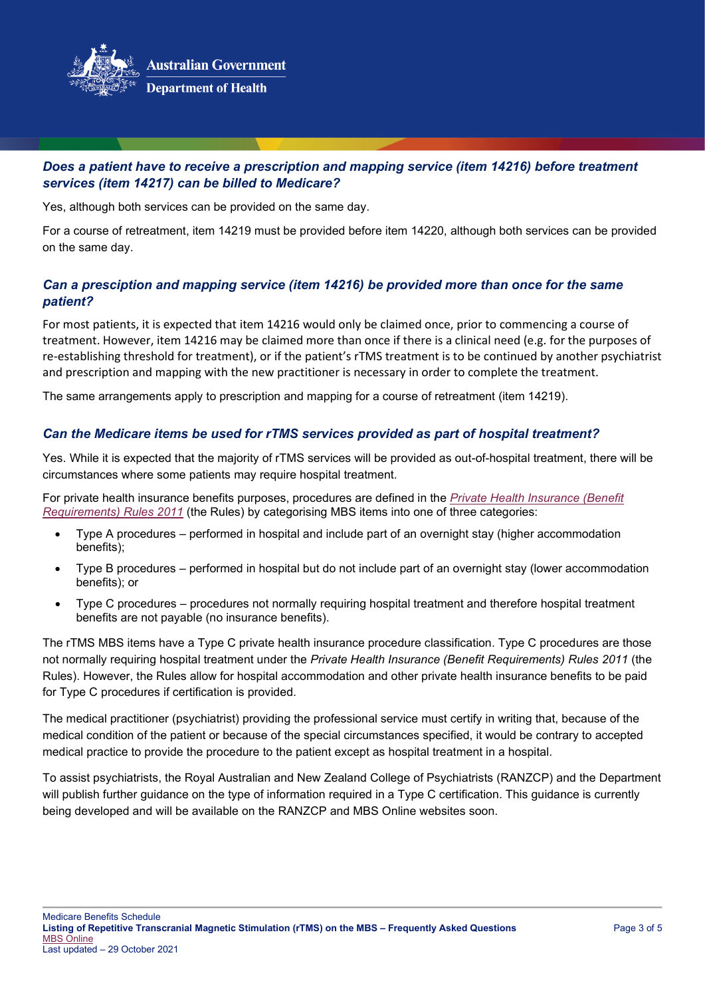

# *Does a patient have to receive a prescription and mapping service (item 14216) before treatment services (item 14217) can be billed to Medicare?*

Yes, although both services can be provided on the same day.

For a course of retreatment, item 14219 must be provided before item 14220, although both services can be provided on the same day.

## *Can a presciption and mapping service (item 14216) be provided more than once for the same patient?*

For most patients, it is expected that item 14216 would only be claimed once, prior to commencing a course of treatment. However, item 14216 may be claimed more than once if there is a clinical need (e.g. for the purposes of re-establishing threshold for treatment), or if the patient's rTMS treatment is to be continued by another psychiatrist and prescription and mapping with the new practitioner is necessary in order to complete the treatment.

The same arrangements apply to prescription and mapping for a course of retreatment (item 14219).

#### *Can the Medicare items be used for rTMS services provided as part of hospital treatment?*

Yes. While it is expected that the majority of rTMS services will be provided as out-of-hospital treatment, there will be circumstances where some patients may require hospital treatment.

For private health insurance benefits purposes, procedures are defined in the *[Private Health Insurance \(Benefit](https://www.legislation.gov.au/Details/F2021C01022)  [Requirements\) Rules 2011](https://www.legislation.gov.au/Details/F2021C01022)* (the Rules) by categorising MBS items into one of three categories:

- Type A procedures performed in hospital and include part of an overnight stay (higher accommodation benefits);
- Type B procedures performed in hospital but do not include part of an overnight stay (lower accommodation benefits); or
- Type C procedures procedures not normally requiring hospital treatment and therefore hospital treatment benefits are not payable (no insurance benefits).

The rTMS MBS items have a Type C private health insurance procedure classification. Type C procedures are those not normally requiring hospital treatment under the *Private Health Insurance (Benefit Requirements) Rules 2011* (the Rules). However, the Rules allow for hospital accommodation and other private health insurance benefits to be paid for Type C procedures if certification is provided.

The medical practitioner (psychiatrist) providing the professional service must certify in writing that, because of the medical condition of the patient or because of the special circumstances specified, it would be contrary to accepted medical practice to provide the procedure to the patient except as hospital treatment in a hospital.

To assist psychiatrists, the Royal Australian and New Zealand College of Psychiatrists (RANZCP) and the Department will publish further guidance on the type of information required in a Type C certification. This guidance is currently being developed and will be available on the RANZCP and MBS Online websites soon.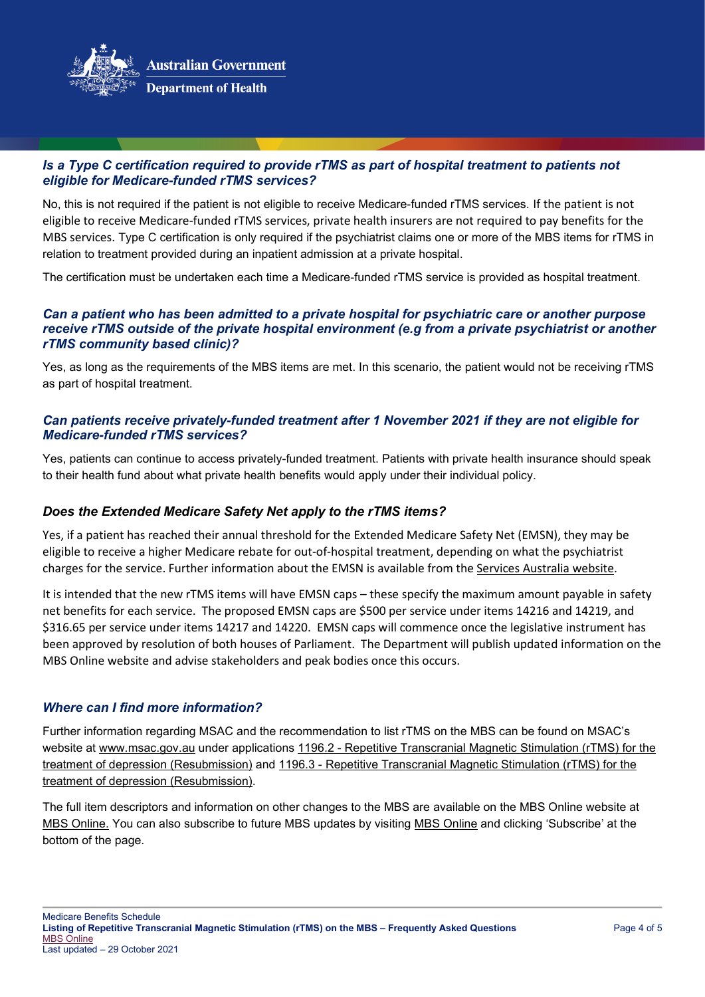

### *Is a Type C certification required to provide rTMS as part of hospital treatment to patients not eligible for Medicare-funded rTMS services?*

No, this is not required if the patient is not eligible to receive Medicare-funded rTMS services. If the patient is not eligible to receive Medicare-funded rTMS services, private health insurers are not required to pay benefits for the MBS services. Type C certification is only required if the psychiatrist claims one or more of the MBS items for rTMS in relation to treatment provided during an inpatient admission at a private hospital.

The certification must be undertaken each time a Medicare-funded rTMS service is provided as hospital treatment.

#### *Can a patient who has been admitted to a private hospital for psychiatric care or another purpose receive rTMS outside of the private hospital environment (e.g from a private psychiatrist or another rTMS community based clinic)?*

Yes, as long as the requirements of the MBS items are met. In this scenario, the patient would not be receiving rTMS as part of hospital treatment.

#### *Can patients receive privately-funded treatment after 1 November 2021 if they are not eligible for Medicare-funded rTMS services?*

Yes, patients can continue to access privately-funded treatment. Patients with private health insurance should speak to their health fund about what private health benefits would apply under their individual policy.

#### *Does the Extended Medicare Safety Net apply to the rTMS items?*

Yes, if a patient has reached their annual threshold for the Extended Medicare Safety Net (EMSN), they may be eligible to receive a higher Medicare rebate for out-of-hospital treatment, depending on what the psychiatrist charges for the service. Further information about the EMSN is available from th[e Services Australia website.](https://www.servicesaustralia.gov.au/individuals/services/medicare/medicare-safety-nets/how-they-work/extended-medicare-safety-net)

It is intended that the new rTMS items will have EMSN caps – these specify the maximum amount payable in safety net benefits for each service. The proposed EMSN caps are \$500 per service under items 14216 and 14219, and \$316.65 per service under items 14217 and 14220. EMSN caps will commence once the legislative instrument has been approved by resolution of both houses of Parliament. The Department will publish updated information on the MBS Online website and advise stakeholders and peak bodies once this occurs.

# *Where can I find more information?*

Further information regarding MSAC and the recommendation to list rTMS on the MBS can be found on MSAC's website at [www.msac.gov.au](http://www.msac.gov.au/) under applications 1196.2 - [Repetitive Transcranial Magnetic Stimulation \(rTMS\) for the](http://www.msac.gov.au/internet/msac/publishing.nsf/Content/1196.2-public)  [treatment of depression \(Resubmission\)](http://www.msac.gov.au/internet/msac/publishing.nsf/Content/1196.2-public) and 1196.3 - [Repetitive Transcranial Magnetic Stimulation \(rTMS\) for the](http://www.msac.gov.au/internet/msac/publishing.nsf/Content/1196.3-Public)  [treatment of depression \(Resubmission\).](http://www.msac.gov.au/internet/msac/publishing.nsf/Content/1196.3-Public)

The full item descriptors and information on other changes to the MBS are available on the MBS Online website at [MBS Online.](http://www.mbsonline.gov.au/) You can also subscribe to future MBS updates by visiting [MBS Online](http://www.mbsonline.gov.au/) and clicking 'Subscribe' at the bottom of the page.